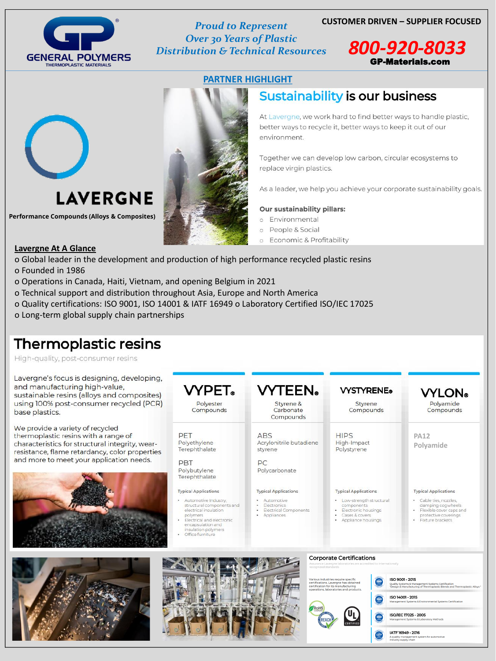# **THERMOPLASTIC MATERIALS**

**Proud to Represent Over 30 Years of Plastic Distribution & Technical Resources** 

## **CUSTOMER DRIVEN – SUPPLIER FOCUSED**



## **PARTNER HIGHLIGHT**



**Performance Compounds (Alloys & Composites)** 



# **Sustainability is our business**

At Lavergne, we work hard to find better ways to handle plastic, better ways to recycle it, better ways to keep it out of our environment.

Together we can develop low carbon, circular ecosystems to replace virgin plastics.

As a leader, we help you achieve your corporate sustainability goals.

## **Our sustainability pillars:**

- o Environmental
- People & Social  $\circ$
- Economic & Profitability  $\circ$

## **Lavergne At A Glance**

o Global leader in the development and production of high performance recycled plastic resins

o Founded in 1986

- o Operations in Canada, Haiti, Vietnam, and opening Belgium in 2021
- o Technical support and distribution throughout Asia, Europe and North America
- o Quality certifications: ISO 9001, ISO 14001 & IATF 16949 o Laboratory Certified ISO/IEC 17025
- o Long-term global supply chain partnerships

# Thermoplastic resins

High-quality, post-consumer resins

Lavergne's focus is designing, develop and manufacturing high-value, sustainable resins (alloys and compos using 100% post-consumer recycled ( base plastics.

We provide a variety of recycled thermoplastic resins with a range of characteristics for structural integrity, we resistance, flame retardancy, color prope and more to meet your application need

|      | <b>VYPET</b> .                       | <b>VYTEEN</b>                                    | <b>VYSTYRENE®</b>                         | <b>VYLON</b> ®           |
|------|--------------------------------------|--------------------------------------------------|-------------------------------------------|--------------------------|
| PCR) | Polyester<br>Compounds               | Styrene &<br>Carbonate<br>Compounds              | Styrene<br>Compounds                      | Polyamide<br>Compounds   |
|      | PFT<br>Polyethylene<br>Terephthalate | <b>ABS</b><br>Acrylonitrile butadiene<br>styrene | <b>HIPS</b><br>High-Impact<br>Polystyrene | <b>PA12</b><br>Polyamide |
|      | DRT                                  | DC                                               |                                           |                          |



Polybutylene Terephthalate

#### **Typical Applications**

- · Automotive Industry, structural components and electrical insulation polymers
- Electrical and electronic encapsulation and insulation polymers
- Office furniture

#### Polycarbonate

#### **Typical Applications**

- · Automotive
- $\bullet$  . **Electronics**
- · Electrical Components
- · Appliances

#### **Typical Applications**

- · Low-strength structural components
- Electronic housings
	- · Cases & covers
	- · Appliance housings

#### **Typical Applications**

- · Cable ties, nozzles, damping cogwheels
- Flexible cover caps and protective coverings
- Fixture brackets





#### **Corporate Certifications**

ernationally Assurance Lavergne labo<br>'ecognized standards

Various industries require specific<br>certifications. Lavergne has obtained<br>certification for its manufacturing operations, laboratories and products

RoHS

### ISO 9001 - 2015

Quality Systems & Management Systems Certification<br>"Design & Manufacturing of Thermoplastic Blends and Thermoplastic Alloys "

ISO 14001 - 2015



#### ISO/IEC 17025 - 2005 nt Systems & Lal ratony Mathode



A quality management system for automotive<br>industry supply chain